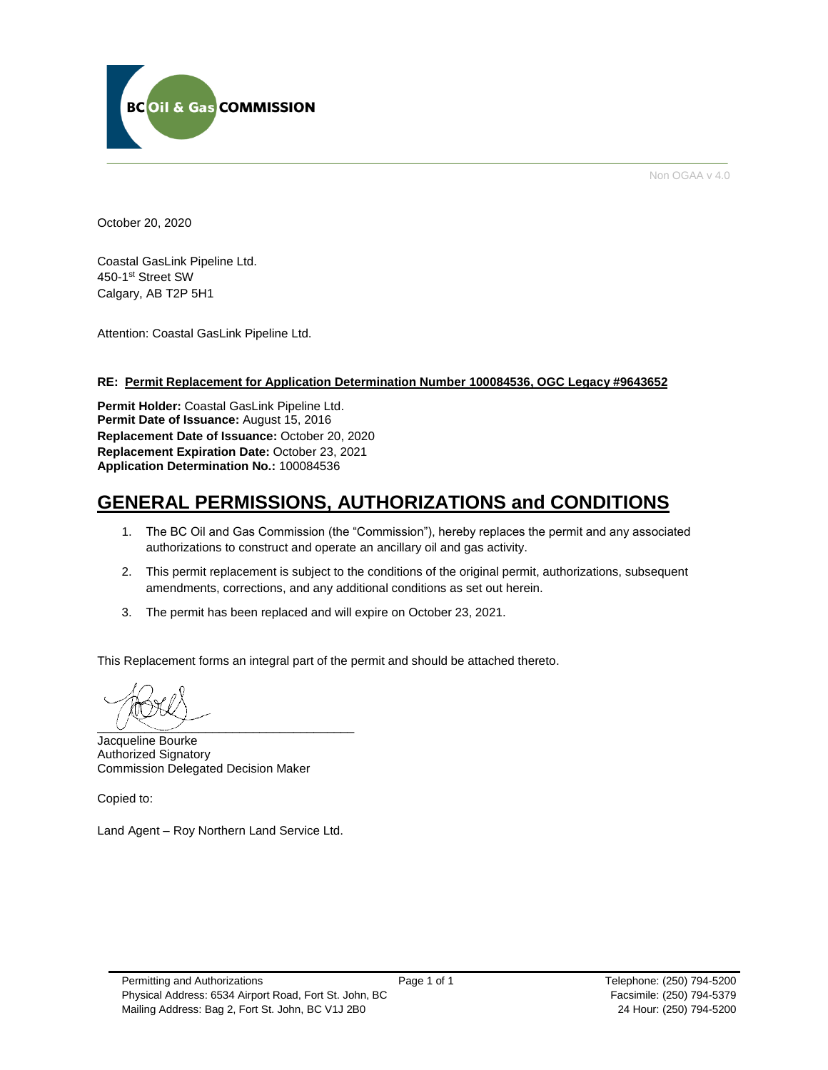

October 20, 2020

Coastal GasLink Pipeline Ltd. 450-1st Street SW Calgary, AB T2P 5H1

Attention: Coastal GasLink Pipeline Ltd.

## **RE: Permit Replacement for Application Determination Number 100084536, OGC Legacy #9643652**

**Permit Holder:** Coastal GasLink Pipeline Ltd. **Permit Date of Issuance:** August 15, 2016 **Replacement Date of Issuance:** October 20, 2020 **Replacement Expiration Date:** October 23, 2021 **Application Determination No.:** 100084536

# **GENERAL PERMISSIONS, AUTHORIZATIONS and CONDITIONS**

- 1. The BC Oil and Gas Commission (the "Commission"), hereby replaces the permit and any associated authorizations to construct and operate an ancillary oil and gas activity.
- 2. This permit replacement is subject to the conditions of the original permit, authorizations, subsequent amendments, corrections, and any additional conditions as set out herein.
- 3. The permit has been replaced and will expire on October 23, 2021.

This Replacement forms an integral part of the permit and should be attached thereto.

 $\overline{\phantom{a}}$   $\overline{\phantom{a}}$   $\overline{\phantom{a}}$   $\overline{\phantom{a}}$   $\overline{\phantom{a}}$   $\overline{\phantom{a}}$   $\overline{\phantom{a}}$   $\overline{\phantom{a}}$   $\overline{\phantom{a}}$   $\overline{\phantom{a}}$   $\overline{\phantom{a}}$   $\overline{\phantom{a}}$   $\overline{\phantom{a}}$   $\overline{\phantom{a}}$   $\overline{\phantom{a}}$   $\overline{\phantom{a}}$   $\overline{\phantom{a}}$   $\overline{\phantom{a}}$   $\overline{\$ 

Jacqueline Bourke Authorized Signatory Commission Delegated Decision Maker

Copied to:

Land Agent – Roy Northern Land Service Ltd.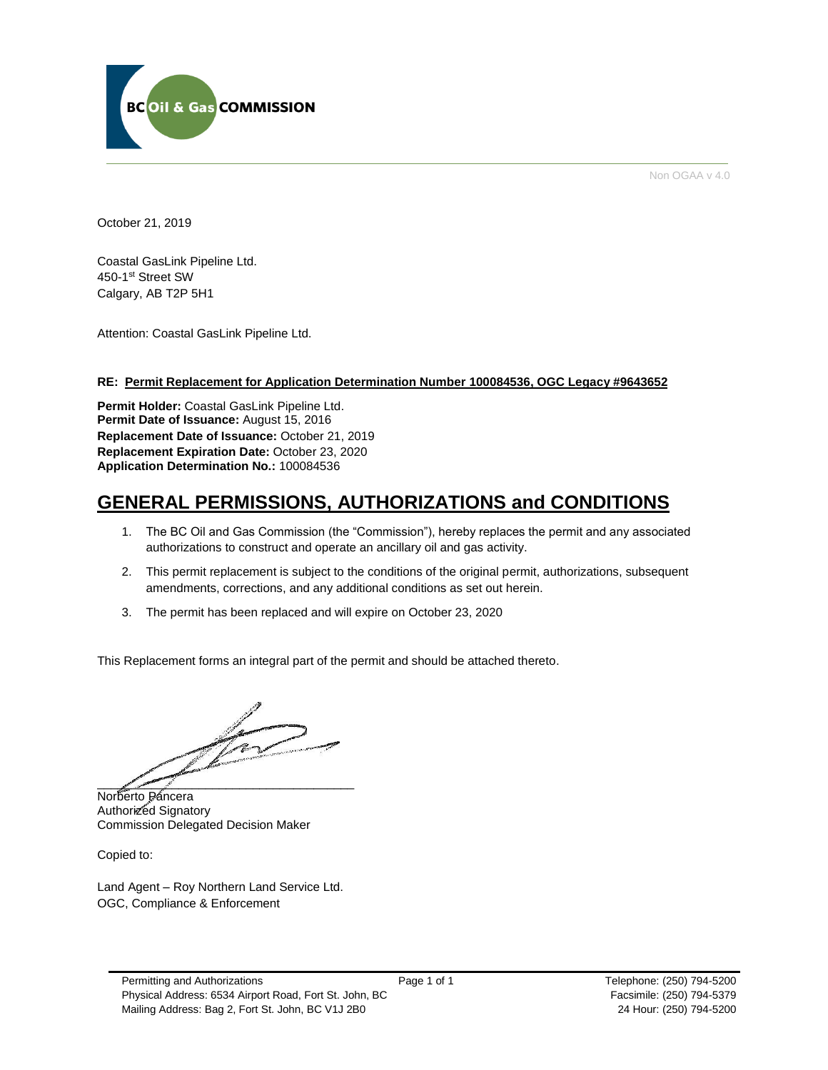

October 21, 2019

Coastal GasLink Pipeline Ltd. 450-1st Street SW Calgary, AB T2P 5H1

Attention: Coastal GasLink Pipeline Ltd.

## **RE: Permit Replacement for Application Determination Number 100084536, OGC Legacy #9643652**

**Permit Holder:** Coastal GasLink Pipeline Ltd. **Permit Date of Issuance:** August 15, 2016 **Replacement Date of Issuance:** October 21, 2019 **Replacement Expiration Date:** October 23, 2020 **Application Determination No.:** 100084536

## **GENERAL PERMISSIONS, AUTHORIZATIONS and CONDITIONS**

- 1. The BC Oil and Gas Commission (the "Commission"), hereby replaces the permit and any associated authorizations to construct and operate an ancillary oil and gas activity.
- 2. This permit replacement is subject to the conditions of the original permit, authorizations, subsequent amendments, corrections, and any additional conditions as set out herein.
- 3. The permit has been replaced and will expire on October 23, 2020

This Replacement forms an integral part of the permit and should be attached thereto.

 $\overline{\phantom{a}}$  and  $\overline{\phantom{a}}$  and  $\overline{\phantom{a}}$  and  $\overline{\phantom{a}}$  and  $\overline{\phantom{a}}$  and  $\overline{\phantom{a}}$  and  $\overline{\phantom{a}}$  and  $\overline{\phantom{a}}$  and  $\overline{\phantom{a}}$  and  $\overline{\phantom{a}}$  and  $\overline{\phantom{a}}$  and  $\overline{\phantom{a}}$  and  $\overline{\phantom{a}}$  and  $\overline{\phantom{a}}$  a

Norberto Pancera Authorized Signatory Commission Delegated Decision Maker

Copied to:

Land Agent – Roy Northern Land Service Ltd. OGC, Compliance & Enforcement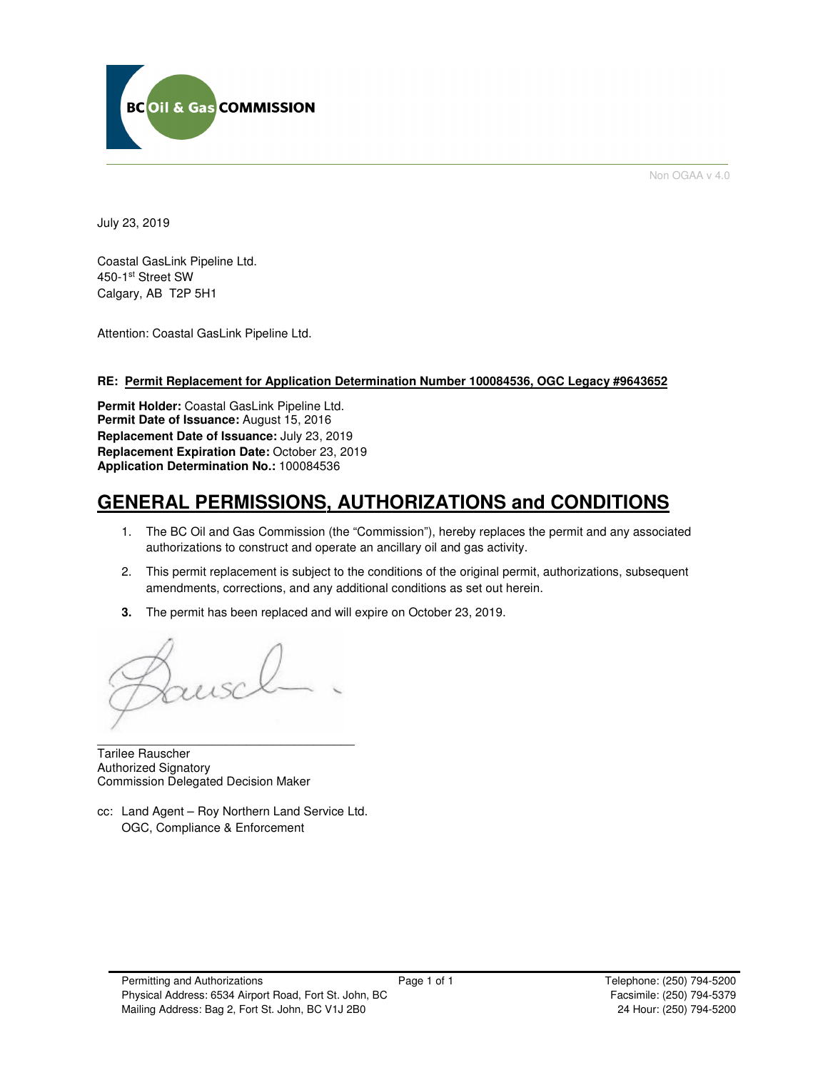

July 23, 2019

Coastal GasLink Pipeline Ltd. 450-1st Street SW Calgary, AB T2P 5H1

Attention: Coastal GasLink Pipeline Ltd.

## **RE: Permit Replacement for Application Determination Number 100084536, OGC Legacy #9643652**

**Permit Holder:** Coastal GasLink Pipeline Ltd. Permit Date of Issuance: August 15, 2016 **Replacement Date of Issuance:** July 23, 2019 **Replacement Expiration Date:** October 23, 2019 **Application Determination No.:** 100084536

## **GENERAL PERMISSIONS, AUTHORIZATIONS and CONDITIONS**

- 1. The BC Oil and Gas Commission (the "Commission"), hereby replaces the permit and any associated authorizations to construct and operate an ancillary oil and gas activity.
- 2. This permit replacement is subject to the conditions of the original permit, authorizations, subsequent amendments, corrections, and any additional conditions as set out herein.
- **3.** The permit has been replaced and will expire on October 23, 2019.

\_\_\_\_\_\_\_\_\_\_\_\_\_\_\_\_\_\_\_\_\_\_\_\_\_\_\_\_\_\_\_\_\_\_\_\_\_\_

Tarilee Rauscher Authorized Signatory Commission Delegated Decision Maker

cc: Land Agent – Roy Northern Land Service Ltd. OGC, Compliance & Enforcement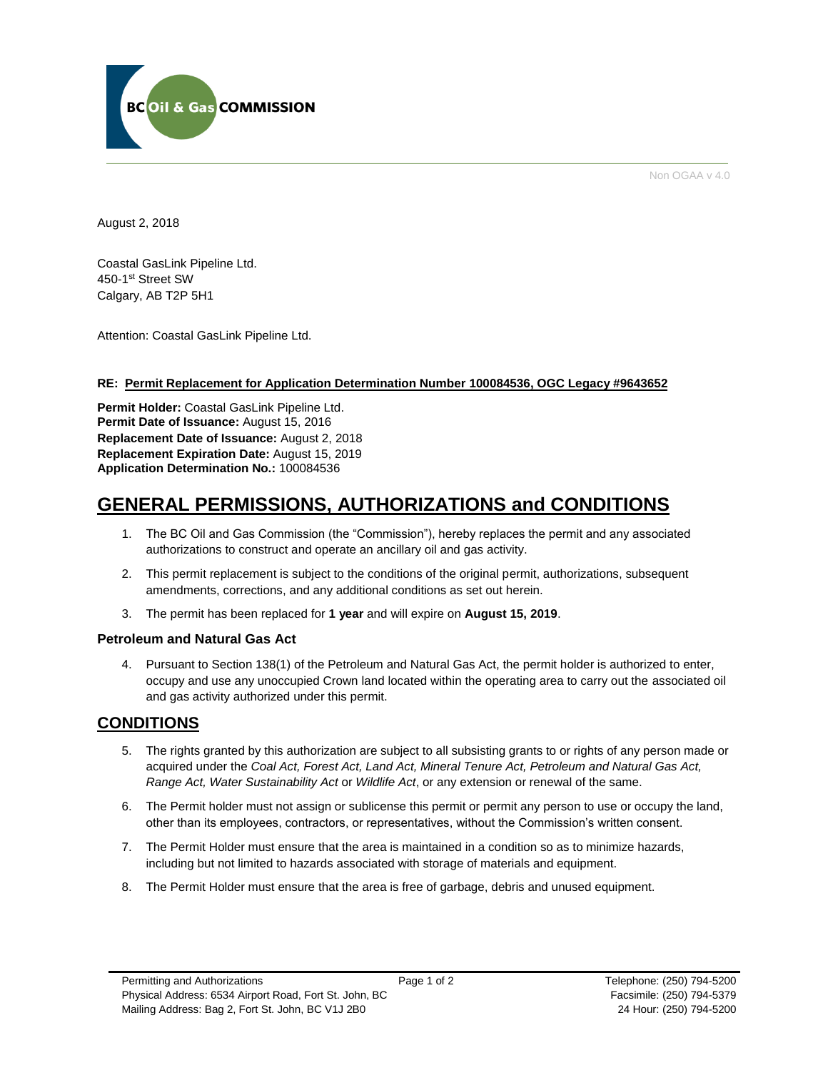

August 2, 2018

Coastal GasLink Pipeline Ltd. 450-1st Street SW Calgary, AB T2P 5H1

Attention: Coastal GasLink Pipeline Ltd.

## **RE: Permit Replacement for Application Determination Number 100084536, OGC Legacy #9643652**

**Permit Holder:** Coastal GasLink Pipeline Ltd. Permit Date of Issuance: August 15, 2016 **Replacement Date of Issuance:** August 2, 2018 **Replacement Expiration Date:** August 15, 2019 **Application Determination No.:** 100084536

# **GENERAL PERMISSIONS, AUTHORIZATIONS and CONDITIONS**

- 1. The BC Oil and Gas Commission (the "Commission"), hereby replaces the permit and any associated authorizations to construct and operate an ancillary oil and gas activity.
- 2. This permit replacement is subject to the conditions of the original permit, authorizations, subsequent amendments, corrections, and any additional conditions as set out herein.
- 3. The permit has been replaced for **1 year** and will expire on **August 15, 2019**.

## **Petroleum and Natural Gas Act**

4. Pursuant to Section 138(1) of the Petroleum and Natural Gas Act, the permit holder is authorized to enter, occupy and use any unoccupied Crown land located within the operating area to carry out the associated oil and gas activity authorized under this permit.

## **CONDITIONS**

- 5. The rights granted by this authorization are subject to all subsisting grants to or rights of any person made or acquired under the *Coal Act, Forest Act, Land Act, Mineral Tenure Act, Petroleum and Natural Gas Act, Range Act, Water Sustainability Act* or *Wildlife Act*, or any extension or renewal of the same.
- 6. The Permit holder must not assign or sublicense this permit or permit any person to use or occupy the land, other than its employees, contractors, or representatives, without the Commission's written consent.
- 7. The Permit Holder must ensure that the area is maintained in a condition so as to minimize hazards, including but not limited to hazards associated with storage of materials and equipment.
- 8. The Permit Holder must ensure that the area is free of garbage, debris and unused equipment.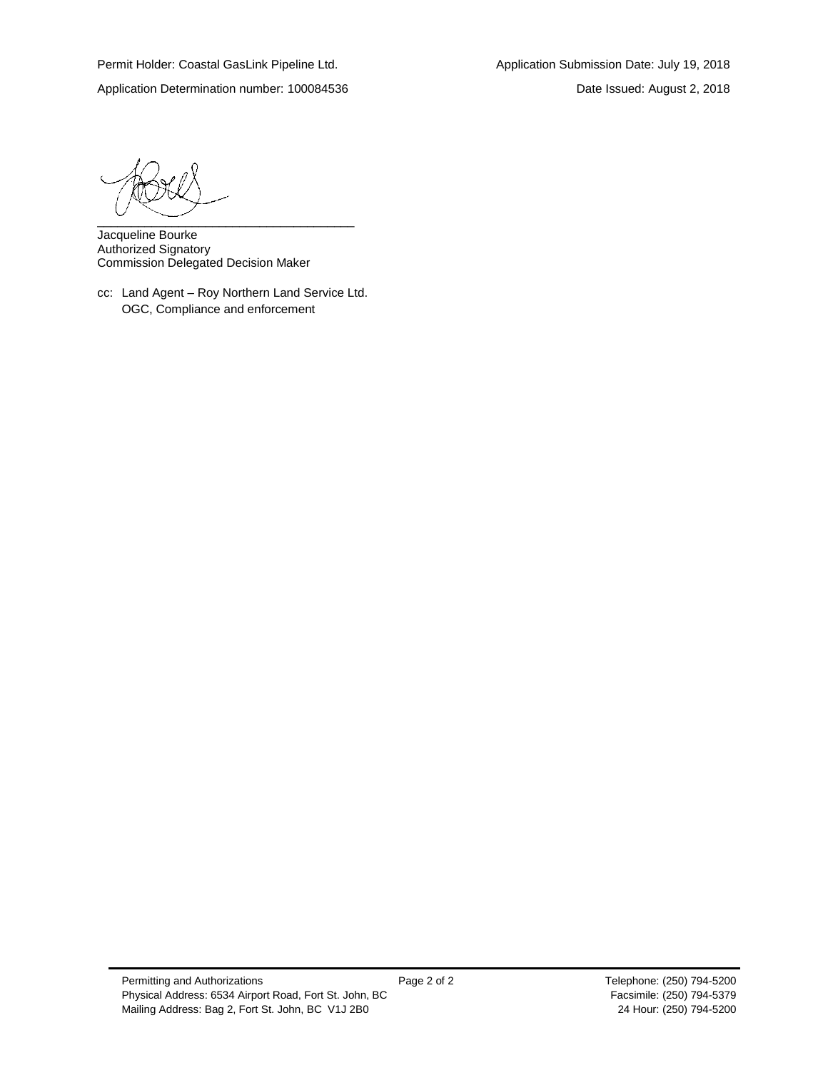Application Determination number: 100084536 Date Issued: August 2, 2018

\_\_\_\_\_\_\_\_\_\_\_\_\_\_\_\_\_\_\_\_\_\_\_\_\_\_\_\_\_\_\_\_\_\_\_\_\_\_

Jacqueline Bourke Authorized Signatory Commission Delegated Decision Maker

cc: Land Agent – Roy Northern Land Service Ltd. OGC, Compliance and enforcement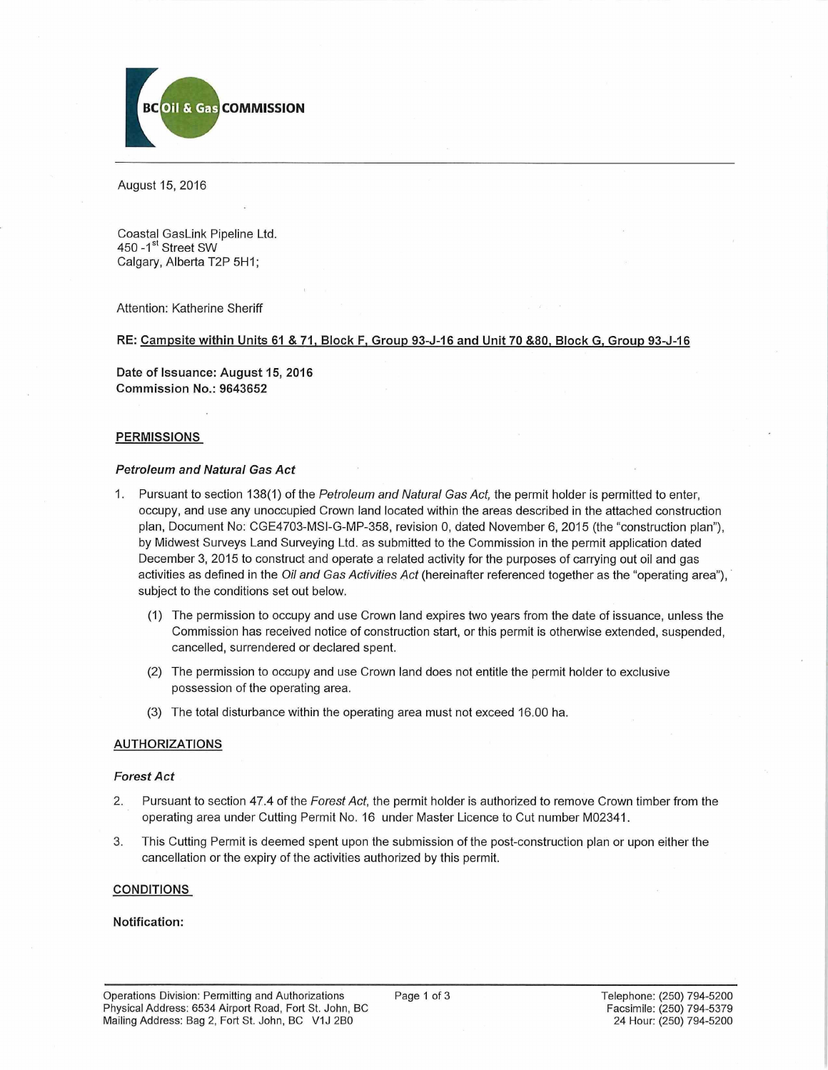

August 15, 2016

Coastal GasLink Pipeline Ltd. 450 - 1<sup>st</sup> Street SW Calgary, Alberta T2P 5H1;

Attention: Katherine Sheriff

#### **RE: Campsite within Units 61 & 71. Block F. Group 93-J-16 and Unit 70 &80. Block G. Group 93-J-16**

**Date of Issuance: August 15, 2016 Commission No.: 9643652**

#### **PERMISSIONS**

#### *Petroleum and Natural Gas Act*

- 1. Pursuant to section 138(1) of the *Petroleum and Natural Gas Act,* the permit holder is permitted to enter, occupy, and use any unoccupied Crown land located within the areas described in the attached construction plan, Document No: CGE4703-MSI-G-MP-358, revision 0, dated November 6, 2015 (the "construction plan"), by Midwest Surveys Land Surveying Ltd. as submitted to the Commission in the permit application dated December 3, 2015 to construct and operate a related activity for the purposes of carrying out oil and gas activities as defined in the *Oil and Gas Activities Act* (hereinafter referenced together as the "operating area"), subject to the conditions set out below.
	- (1) The permission to occupy and use Crown land expires two years from the date of issuance, unless the Commission has received notice of construction start, or this permit is otherwise extended, suspended, cancelled, surrendered or declared spent.
	- (2) The permission to occupy and use Crown land does not entitle the permit holder to exclusive possession of the operating area.
	- (3) The total disturbance within the operating area must not exceed 16.00 ha.

#### **AUTHORIZATIONS**

#### *Forest Act*

- 2. Pursuant to section 47.4 of the *Forest Act,* the permit holder is authorized to remove Crown timber from the operating area under Cutting Permit No. 16 under Master Licence to Cut number M02341.
- 3. This Cutting Permit is deemed spent upon the submission of the post-construction plan or upon either the cancellation or the expiry of the activities authorized by this permit.

#### **CONDITIONS**

#### **Notification:**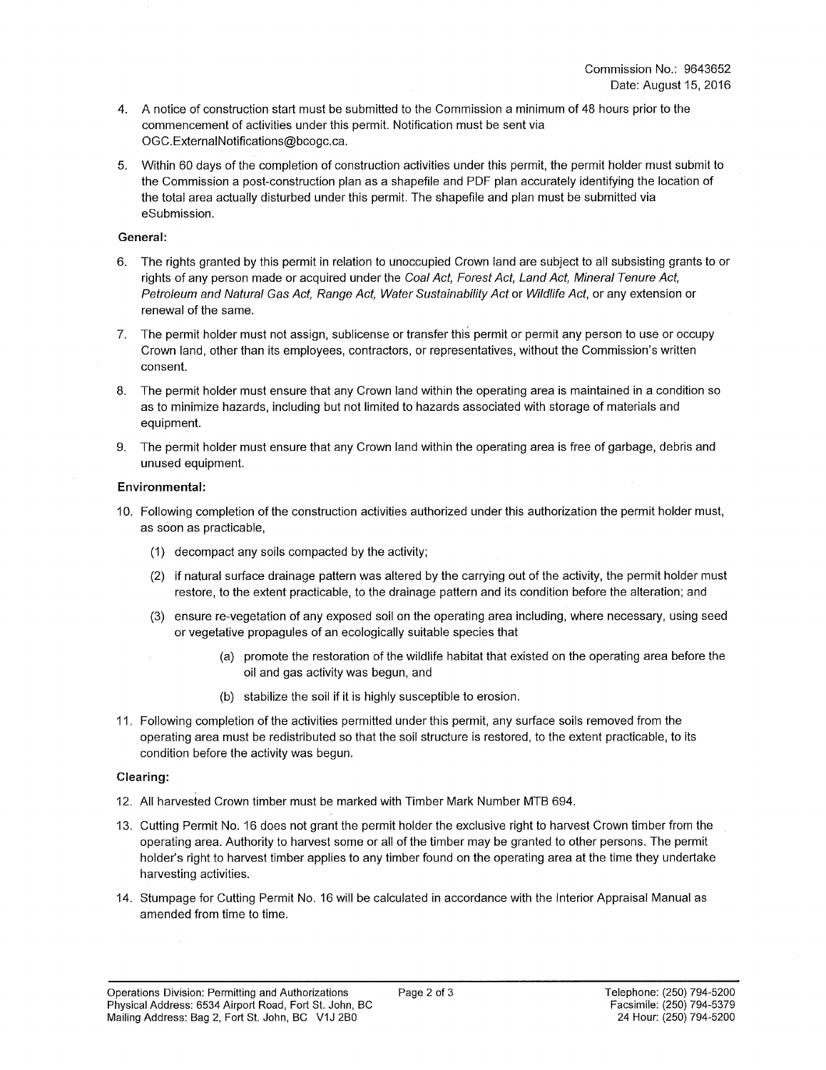- 4. A notice of construction start must be submitted to the Commission a minimum of 48 hours prior to the commencement of activities under this permit. Notification must be sent via OGC.ExternalNotifications@bcogc,ca.
- 5. Within 60 days of the completion of construction activities under this permit, the permit holder must submit to the Commission a post-construction plan as a shapefile and PDF plan accurately identifying the location of the total area actually disturbed under this permit. The shapefile and plan must be submitted via eSubmission.

### **General:**

- 6. The rights granted by this permit in relation to unoccupied Crown land are subject to all subsisting grants to or rights of any person made or acquired under the *Coal Act, Forest Act, Land Act, Mineral Tenure Act, Petroleum and Natural Gas Act, Range Act, Water Sustainability Act* or *Wildlife Act,* or any extension or renewal of the same.
- 7. The permit holder must not assign, sublicense or transfer this permit or permit any person to use or occupy Crown land, other than its employees, contractors, or representatives, without the Commission's written consent.
- 8. The permit holder must ensure that any Crown land within the operating area is maintained in a condition so as to minimize hazards, including but not limited to hazards associated with storage of materials and equipment.
- 9. The permit holder must ensure that any Crown land within the operating area is free of garbage, debris and unused equipment.

#### **Environmental:**

- 10. Following completion of the construction activities authorized under this authorization the permit holder must, as soon as practicable,
	- (1) decompact any soils compacted by the activity;
	- (2) if natural surface drainage pattern was altered by the carrying out of the activity, the permit holder must restore, to the extent practicable, to the drainage pattern and its condition before the alteration; and
	- (3) ensure re-vegetation of any exposed soil on the operating area including, where necessary, using seed or vegetative propagules of an ecologically suitable species that
		- (a) promote the restoration of the wildlife habitat that existed on the operating area before the oil and gas activity was begun, and
		- (b) stabilize the soil if it is highly susceptible to erosion.
- 11. Following completion of the activities permitted under this permit, any surface soils removed from the operating area must be redistributed so that the soil structure is restored, to the extent practicable, to its condition before the activity was begun.

#### **Clearing:**

- 12. All harvested Crown timber must be marked with Timber Mark Number MTB 694.
- 13. Cutting Permit No. 16 does not grant the permit holder the exclusive right to harvest Crown timber from the operating area. Authority to harvest some or all of the timber may be granted to other persons. The permit holder's right to harvest timber applies to any timber found on the operating area at the time they undertake harvesting activities.
- 14. Stumpage for Cutting Permit No. 16 will be calculated in accordance with the Interior Appraisal Manual as amended from time to time.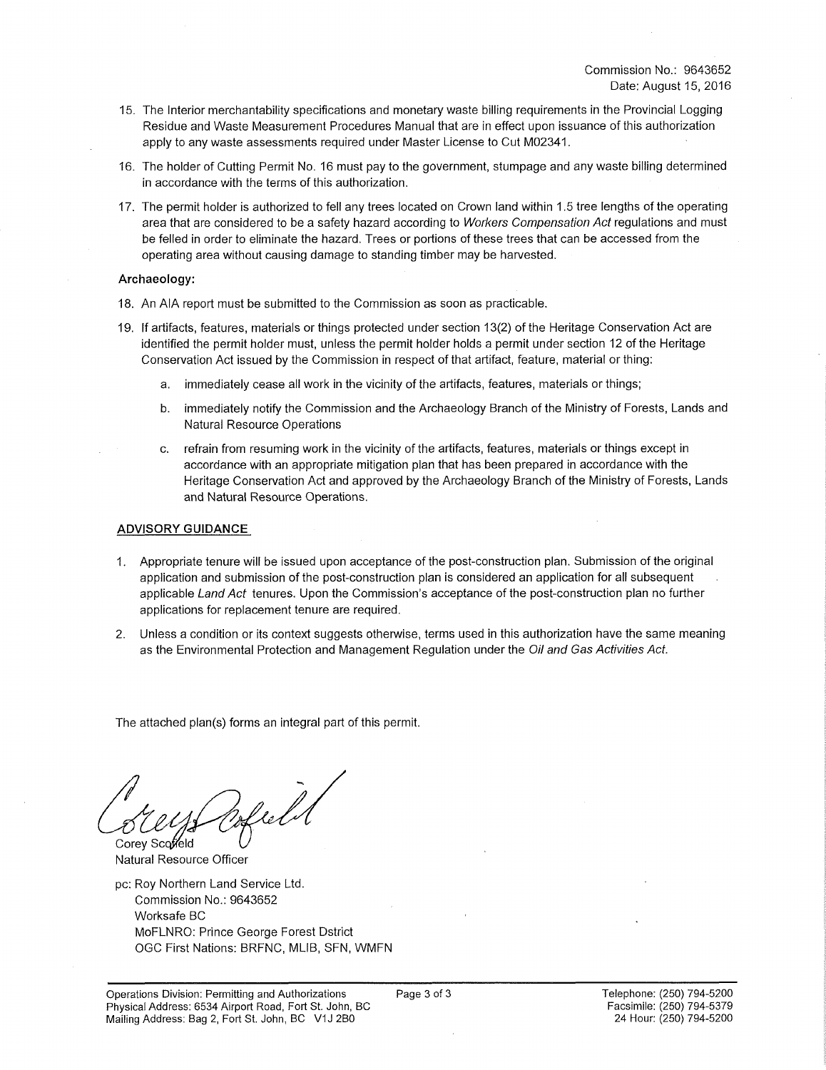- 15. The Interior merchantability specifications and monetary waste billing requirements in the Provincial Logging Residue and Waste Measurement Procedures Manual that are in effect upon issuance of this authorization apply to any waste assessments required under Master License to Cut M02341.
- 16. The holder of Cutting Permit No. 16 must pay to the government, stumpage and any waste billing determined in accordance with the terms of this authorization.
- 17. The permit holder is authorized to fell any trees located on Crown land within 1.5 tree lengths of the operating area that are considered to be a safety hazard according to *Workers Compensation Act* regulations and must be felled in order to eliminate the hazard. Trees or portions of these trees that can be accessed from the operating area without causing damage to standing timber may be harvested.

#### **Archaeology:**

- 18. An AIA report must be submitted to the Commission as soon as practicable.
- 19. If artifacts, features, materials or things protected under section 13(2) of the Heritage Conservation Act are identified the permit holder must, unless the permit holder holds a permit under section 12 of the Heritage Conservation Act issued by the Commission in respect of that artifact, feature, material or thing:
	- a. immediately cease all work in the vicinity of the artifacts, features, materials or things;
	- b. immediately notify the Commission and the Archaeology Branch of the Ministry of Forests, Lands and Natural Resource Operations
	- c. refrain from resuming work in the vicinity of the artifacts, features, materials or things except in accordance with an appropriate mitigation plan that has been prepared in accordance with the Heritage Conservation Act and approved by the Archaeology Branch of the Ministry of Forests, Lands and Natural Resource Operations.

#### **ADVISORY GUIDANCE**

- 1. Appropriate tenure will be issued upon acceptance of the post-construction plan. Submission of the original application and submission of the post-construction plan is considered an application for all subsequent applicable *Land Act* tenures. Upon the Commission's acceptance of the post-construction plan no further applications for replacement tenure are required.
- 2. Unless a condition or its context suggests otherwise, terms used in this authorization have the same meaning as the Environmental Protection and Management Regulation under the *Oil and Gas Activities Act.*

The attached plan(s) forms an integral part of this permit.

Corev Scoñeld

Natural Resource Officer

pc: Roy Northern Land Service Ltd. Commission No.: 9643652 Worksafe BC MoFLNRO: Prince George Forest Dstrict OGC First Nations: BRFNC, MLIB, SFN, WMFN